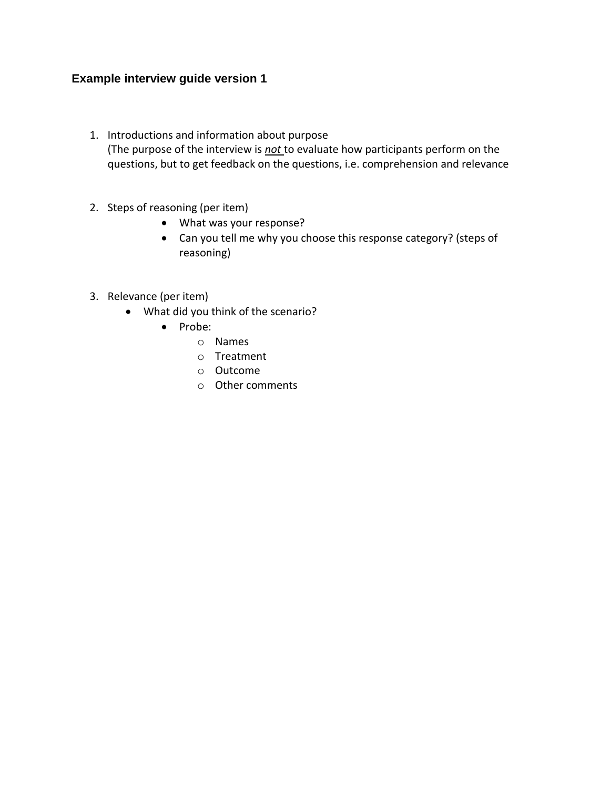## **Example interview guide version 1**

- 1. Introductions and information about purpose (The purpose of the interview is *not* to evaluate how participants perform on the questions, but to get feedback on the questions, i.e. comprehension and relevance
- 2. Steps of reasoning (per item)
	- What was your response?
	- Can you tell me why you choose this response category? (steps of reasoning)
- 3. Relevance (per item)
	- What did you think of the scenario?
		- Probe:
			- o Names
			- o Treatment
			- o Outcome
			- o Other comments